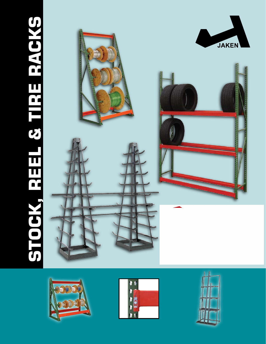